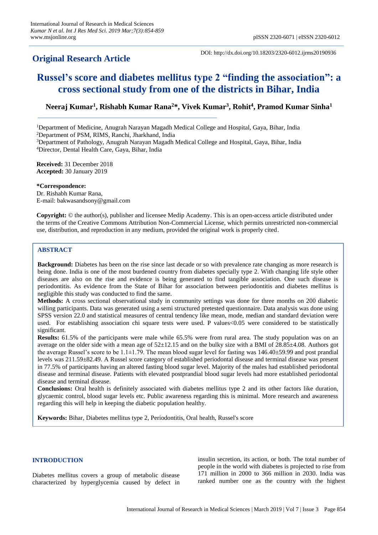# **Original Research Article**

DOI: http://dx.doi.org/10.18203/2320-6012.ijrms20190936

# **Russel's score and diabetes mellitus type 2 "finding the association": a cross sectional study from one of the districts in Bihar, India**

**Neeraj Kumar<sup>1</sup> , Rishabh Kumar Rana<sup>2</sup>\*, Vivek Kumar<sup>3</sup> , Rohit<sup>4</sup> , Pramod Kumar Sinha<sup>1</sup>**

<sup>1</sup>Department of Medicine, Anugrah Narayan Magadh Medical College and Hospital, Gaya, Bihar, India

<sup>2</sup>Department of PSM, RIMS, Ranchi, Jharkhand, India

<sup>3</sup>Department of Pathology, Anugrah Narayan Magadh Medical College and Hospital, Gaya, Bihar, India <sup>4</sup>Director, Dental Health Care, Gaya, Bihar, India

**Received:** 31 December 2018 **Accepted:** 30 January 2019

**\*Correspondence:**

Dr. Rishabh Kumar Rana, E-mail: bakwasandsony@gmail.com

**Copyright:** © the author(s), publisher and licensee Medip Academy. This is an open-access article distributed under the terms of the Creative Commons Attribution Non-Commercial License, which permits unrestricted non-commercial use, distribution, and reproduction in any medium, provided the original work is properly cited.

# **ABSTRACT**

**Background:** Diabetes has been on the rise since last decade or so with prevalence rate changing as more research is being done. India is one of the most burdened country from diabetes specially type 2. With changing life style other diseases are also on the rise and evidence is being generated to find tangible association. One such disease is periodontitis. As evidence from the State of Bihar for association between periodontitis and diabetes mellitus is negligible this study was conducted to find the same.

**Methods:** A cross sectional observational study in community settings was done for three months on 200 diabetic willing participants. Data was generated using a semi structured pretested questionnaire. Data analysis was done using SPSS version 22.0 and statistical measures of central tendency like mean, mode, median and standard deviation were used. For establishing association chi square tests were used. P values<0.05 were considered to be statistically significant.

**Results:** 61.5% of the participants were male while 65.5% were from rural area. The study population was on an average on the older side with a mean age of 52±12.15 and on the bulky size with a BMI of 28.85±4.08. Authors got the average Russel's score to be  $1.1\pm1.79$ . The mean blood sugar level for fasting was  $146.40\pm59.99$  and post prandial levels was 211.59±82.49. A Russel score category of established periodontal disease and terminal disease was present in 77.5% of participants having an altered fasting blood sugar level. Majority of the males had established periodontal disease and terminal disease. Patients with elevated postprandial blood sugar levels had more established periodontal disease and terminal disease.

**Conclusions:** Oral health is definitely associated with diabetes mellitus type 2 and its other factors like duration, glycaemic control, blood sugar levels etc. Public awareness regarding this is minimal. More research and awareness regarding this will help in keeping the diabetic population healthy.

**Keywords:** Bihar, Diabetes mellitus type 2, Periodontitis, Oral health, Russel's score

#### **INTRODUCTION**

Diabetes mellitus covers a group of metabolic disease characterized by hyperglycemia caused by defect in insulin secretion, its action, or both. The total number of people in the world with diabetes is projected to rise from 171 million in 2000 to 366 million in 2030. India was ranked number one as the country with the highest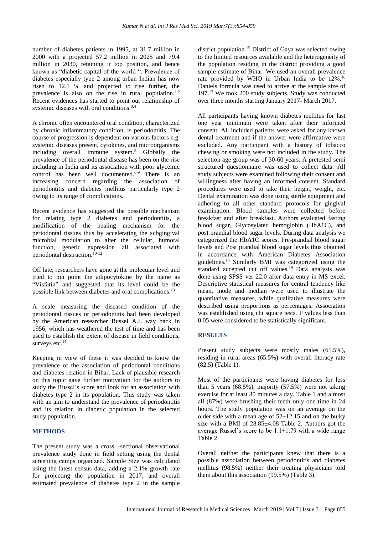number of diabetes patients in 1995, at 31.7 million in 2000 with a projected 57.2 million in 2025 and 79.4 million in 2030, retaining it top position, and hence known as "diabetic capital of the world ". Prevalence of diabetes especially type 2 among urban Indian has now risen to 12.1 % and projected to rise further, the prevalence is also on the rise in rural population.<sup>1,2</sup> Recent evidences has started to point out relationship of systemic diseases with oral conditions.<sup>3,4</sup>

A chronic often encountered oral condition, characterized by chronic inflammatory condition, is periodontitis. The course of progression is dependent on various factors e.g. systemic diseases present, cytokines, and microorganisms including overall immune system. <sup>5</sup> Globally the prevalence of the periodontal disease has been on the rise including in India and its association with poor glycemic control has been well documented.<sup>6-9</sup> There is an increasing concern regarding the association of periodontitis and diabetes mellitus particularly type 2 owing to its range of complications.

Recent evidence has suggested the possible mechanism for relating type 2 diabetes and periodontitis, a modification of the healing mechanism for the periodontal tissues thus by accelerating the subgingival microbial modulation to alter the cellular, humoral function, genetic expression all associated with periodontal destruction.<sup>10-12</sup>

Off late, researchers have gone at the molecular level and tried to pin point the adipocytokine by the name as "Visfatin" and suggested that its level could be the possible link between diabetes and oral complications.<sup>13</sup>

A scale measuring the diseased condition of the periodontal tissues or periodontitis had been developed by the American researcher Russel A.L way back in 1956, which has weathered the test of time and has been used to establish the extent of disease in field conditions, surveys etc.<sup>14</sup>

Keeping in view of these it was decided to know the prevalence of the association of periodontal conditions and diabetes relation in Bihar. Lack of plausible research on this topic gave further motivation for the authors to study the Russel's score and look for an association with diabetes type 2 in its population. This study was taken with an aim to understand the prevalence of periodontitis and its relation in diabetic population in the selected study population.

#### **METHODS**

The present study was a cross –sectional observational prevalence study done in field setting using the dental screening camps organized. Sample Size was calculated using the latest census data, adding a 2.1% growth rate for projecting the population in 2017, and overall estimated prevalence of diabetes type 2 in the sample district population.<sup>15</sup> District of Gaya was selected owing to the limited resources available and the heterogeneity of the population residing in the district providing a good sample estimate of Bihar. We used an overall prevalence rate provided by WHO in Urban India to be 12%.<sup>16</sup> Daniels formula was used to arrive at the sample size of 197.<sup>17</sup> We took 200 study subjects. Study was conducted over three months starting January 2017- March 2017.

All participants having known diabetes mellitus for last one year minimum were taken after their informed consent. All included patients were asked for any known dental treatment and if the answer were affirmative were excluded. Any participant with a history of tobacco chewing or smoking were not included in the study. The selection age group was of 30-60 years. A pretested semi structured questionnaire was used to collect data. All study subjects were examined following their consent and willingness after having an informed consent. Standard procedures were used to take their height, weight, etc. Dental examination was done using sterile equipment and adhering to all other standard protocols for gingival examination. Blood samples were collected before breakfast and after breakfast. Authors evaluated fasting blood sugar, Glycosylated hemoglobin (HbA1C), and post prandial blood sugar levels. During data analysis we categorized the HbA1C scores, Pre-prandial blood sugar levels and Post prandial blood sugar levels thus obtained in accordance with American Diabetes Association guidelines. <sup>18</sup> Similarly BMI was categorized using the standard accepted cut off values. <sup>19</sup> Data analysis was done using SPSS ver 22.0 after data entry in MS excel. Descriptive statistical measures for central tendency like mean, mode and median were used to illustrate the quantitative measures, while qualitative measures were described using proportions as percentages. Association was established using chi square tests. P values less than 0.05 were considered to be statistically significant.

#### **RESULTS**

Present study subjects were mostly males (61.5%), residing in rural areas (65.5%) with overall literacy rate (82.5) (Table 1).

Most of the participants were having diabetes for less than 5 years (68.5%), majority (57.5%) were not taking exercise for at least 30 minutes a day, Table 1 and almost all (87%) were brushing their teeth only one time in 24 hours. The study population was on an average on the older side with a mean age of  $52\pm12.15$  and on the bulky size with a BMI of 28.85±4.08 Table 2. Authors got the average Russel's score to be  $1.1 \pm 1.79$  with a wide range Table 2.

Overall neither the participants knew that there is a possible association between periodontitis and diabetes mellitus (98.5%) neither their treating physicians told them about this association (99.5%) (Table 3).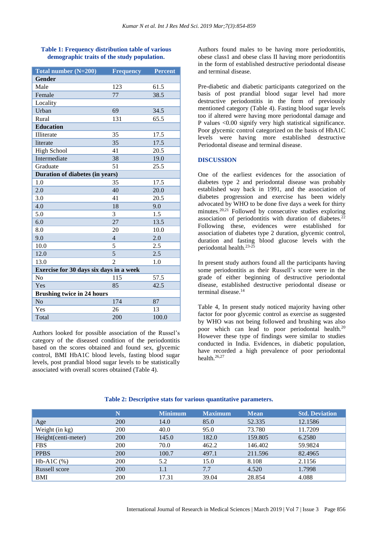### **Table 1: Frequency distribution table of various demographic traits of the study population.**

| Total number $(N=200)$                  | <b>Frequency</b> | <b>Percent</b> |  |  |  |
|-----------------------------------------|------------------|----------------|--|--|--|
| <b>Gender</b>                           |                  |                |  |  |  |
| Male                                    | 123              | 61.5           |  |  |  |
| Female                                  | 77               | 38.5           |  |  |  |
| Locality                                |                  |                |  |  |  |
| Urban                                   | 69               | 34.5           |  |  |  |
| Rural                                   | 131              | 65.5           |  |  |  |
| <b>Education</b>                        |                  |                |  |  |  |
| Illiterate                              | 35               | 17.5           |  |  |  |
| literate                                | 35               | 17.5           |  |  |  |
| <b>High School</b>                      | 41               | 20.5           |  |  |  |
| Intermediate                            | 38               | 19.0           |  |  |  |
| Graduate                                | 51               | 25.5           |  |  |  |
| Duration of diabetes (in years)         |                  |                |  |  |  |
| 1.0                                     | 35               | 17.5           |  |  |  |
| 2.0                                     | 40               | 20.0           |  |  |  |
| 3.0                                     | 41               | 20.5           |  |  |  |
| 4.0                                     | 18               | 9.0            |  |  |  |
| 5.0                                     | 3                | 1.5            |  |  |  |
| 6.0                                     | $\overline{27}$  | 13.5           |  |  |  |
| 8.0                                     | 20               | 10.0           |  |  |  |
| 9.0                                     | $\overline{4}$   | 2.0            |  |  |  |
| 10.0                                    | 5                | 2.5            |  |  |  |
| 12.0                                    | 5                | 2.5            |  |  |  |
| 13.0                                    | $\mathfrak{D}$   | 1.0            |  |  |  |
| Exercise for 30 days six days in a week |                  |                |  |  |  |
| N <sub>0</sub>                          | 115              | 57.5           |  |  |  |
| Yes                                     | 85               | 42.5           |  |  |  |
| <b>Brushing twice in 24 hours</b>       |                  |                |  |  |  |
| N <sub>o</sub>                          | 174              | 87             |  |  |  |
| Yes                                     | 26               | 13             |  |  |  |
| Total                                   | 200              | 100.0          |  |  |  |

Authors looked for possible association of the Russel's category of the diseased condition of the periodontitis based on the scores obtained and found sex, glycemic control, BMI HbA1C blood levels, fasting blood sugar levels, post prandial blood sugar levels to be statistically associated with overall scores obtained (Table 4).

Authors found males to be having more periodontitis, obese class1 and obese class II having more periodontitis in the form of established destructive periodontal disease and terminal disease.

Pre-diabetic and diabetic participants categorized on the basis of post prandial blood sugar level had more destructive periodontitis in the form of previously mentioned category (Table 4). Fasting blood sugar levels too if altered were having more periodontal damage and P values <0.00 signify very high statistical significance. Poor glycemic control categorized on the basis of HbA1C levels were having more established destructive Periodontal disease and terminal disease.

#### **DISCUSSION**

One of the earliest evidences for the association of diabetes type 2 and periodontal disease was probably established way back in 1991, and the association of diabetes progression and exercise has been widely advocated by WHO to be done five days a week for thirty minutes.<sup>20,21</sup> Followed by consecutive studies exploring association of periodontitis with duration of diabetes.<sup>22</sup> Following these, evidences were established for association of diabetes type 2 duration, glycemic control, duration and fasting blood glucose levels with the periodontal health.23-25

In present study authors found all the participants having some periodontitis as their Russell's score were in the grade of either beginning of destructive periodontal disease, established destructive periodontal disease or terminal disease. 14

Table 4, In present study noticed majority having other factor for poor glycemic control as exercise as suggested by WHO was not being followed and brushing was also poor which can lead to poor periodontal health.<sup>20</sup> However these type of findings were similar to studies conducted in India. Evidences, in diabetic population, have recorded a high prevalence of poor periodontal health.26,27

|                     | N   | <b>Minimum</b> | <b>Maximum</b> | <b>Mean</b> | <b>Std. Deviation</b> |
|---------------------|-----|----------------|----------------|-------------|-----------------------|
| Age                 | 200 | 14.0           | 85.0           | 52.335      | 12.1586               |
| Weight (in kg)      | 200 | 40.0           | 95.0           | 73.780      | 11.7209               |
| Height(centi-meter) | 200 | 145.0          | 182.0          | 159.805     | 6.2580                |
| <b>FBS</b>          | 200 | 70.0           | 462.2          | 146.402     | 59.9824               |
| <b>PPBS</b>         | 200 | 100.7          | 497.1          | 211.596     | 82.4965               |
| Hb-A1C $(\%)$       | 200 | 5.2            | 15.0           | 8.108       | 2.1156                |
| Russell score       | 200 | 1.1            | 7.7            | 4.520       | 1.7998                |
| BMI                 | 200 | 17.31          | 39.04          | 28.854      | 4.088                 |

#### **Table 2: Descriptive stats for various quantitative parameters.**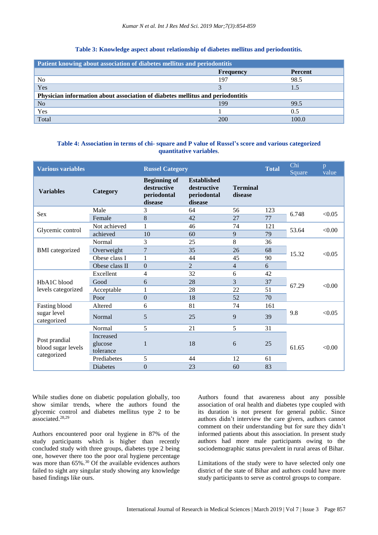#### **Table 3: Knowledge aspect about relationship of diabetes mellitus and periodontitis.**

| Patient knowing about association of diabetes mellitus and periodontitis       |                  |                |  |  |
|--------------------------------------------------------------------------------|------------------|----------------|--|--|
|                                                                                | <b>Frequency</b> | <b>Percent</b> |  |  |
| N <sub>0</sub>                                                                 | 197              | 98.5           |  |  |
| Yes                                                                            |                  | 1.5            |  |  |
| Physician information about association of diabetes mellitus and periodontitis |                  |                |  |  |
| N <sub>o</sub>                                                                 | 199              | 99.5           |  |  |
| Yes                                                                            |                  | 0.5            |  |  |
| Total                                                                          | 200              | 100.0          |  |  |

# **Table 4: Association in terms of chi- square and P value of Russel's score and various categorized quantitative variables**.

| <b>Various variables</b>                           |                                          | <b>Russel Category</b>                                       |                                                             |                            | <b>Total</b> | Chi<br>Square | p<br>value |
|----------------------------------------------------|------------------------------------------|--------------------------------------------------------------|-------------------------------------------------------------|----------------------------|--------------|---------------|------------|
| <b>Variables</b>                                   | Category                                 | <b>Beginning of</b><br>destructive<br>periodontal<br>disease | <b>Established</b><br>destructive<br>periodontal<br>disease | <b>Terminal</b><br>disease |              |               |            |
| Sex                                                | Male                                     | 3                                                            | 64                                                          | 56                         | 123          | 6.748         | < 0.05     |
|                                                    | Female                                   | 8                                                            | 42                                                          | 27                         | 77           |               |            |
| Glycemic control                                   | Not achieved                             | 1                                                            | 46                                                          | 74                         | 121          | 53.64         | <0.00      |
|                                                    | achieved                                 | 10                                                           | 60                                                          | 9                          | 79           |               |            |
| <b>BMI</b> categorized                             | Normal                                   | 3                                                            | 25                                                          | 8                          | 36           |               | < 0.05     |
|                                                    | Overweight                               | 7                                                            | 35                                                          | 26                         | 68           | 15.32         |            |
|                                                    | Obese class I                            | 1                                                            | 44                                                          | 45                         | 90           |               |            |
|                                                    | Obese class II                           | $\Omega$                                                     | 2                                                           | 4                          | 6            |               |            |
| HbA1C blood<br>levels categorized                  | Excellent                                | 4                                                            | 32                                                          | 6                          | 42           | 67.29         | < 0.00     |
|                                                    | Good                                     | 6                                                            | 28                                                          | 3                          | 37           |               |            |
|                                                    | Acceptable                               | 1                                                            | 28                                                          | 22                         | 51           |               |            |
|                                                    | Poor                                     | $\Omega$                                                     | 18                                                          | 52                         | 70           |               |            |
| Fasting blood<br>sugar level<br>categorized        | Altered                                  | 6                                                            | 81                                                          | 74                         | 161          | 9.8           | < 0.05     |
|                                                    | Normal                                   | 5                                                            | 25                                                          | 9                          | 39           |               |            |
| Post prandial<br>blood sugar levels<br>categorized | Normal                                   | 5                                                            | 21                                                          | 5                          | 31           | 61.65         | < 0.00     |
|                                                    | <b>Increased</b><br>glucose<br>tolerance | 1                                                            | 18                                                          | 6                          | 25           |               |            |
|                                                    | Prediabetes                              | 5                                                            | 44                                                          | 12                         | 61           |               |            |
|                                                    | <b>Diabetes</b>                          | $\theta$                                                     | 23                                                          | 60                         | 83           |               |            |
|                                                    |                                          |                                                              |                                                             |                            |              |               |            |

While studies done on diabetic population globally, too show similar trends, where the authors found the glycemic control and diabetes mellitus type 2 to be associated. 28,29

Authors encountered poor oral hygiene in 87% of the study participants which is higher than recently concluded study with three groups, diabetes type 2 being one, however there too the poor oral hygiene percentage was more than  $65\%$ .<sup>30</sup> Of the available evidences authors failed to sight any singular study showing any knowledge based findings like ours.

Authors found that awareness about any possible association of oral health and diabetes type coupled with its duration is not present for general public. Since authors didn't interview the care givers, authors cannot comment on their understanding but for sure they didn't informed patients about this association. In present study authors had more male participants owing to the sociodemographic status prevalent in rural areas of Bihar.

Limitations of the study were to have selected only one district of the state of Bihar and authors could have more study participants to serve as control groups to compare.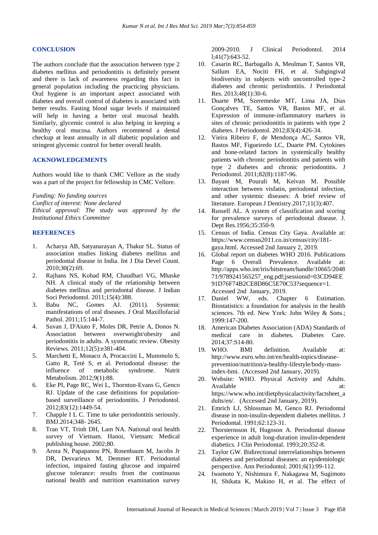#### **CONCLUSION**

The authors conclude that the association between type 2 diabetes mellitus and periodontitis is definitely present and there is lack of awareness regarding this fact in general population including the practicing physicians. Oral hygiene is an important aspect associated with diabetes and overall control of diabetes is associated with better results. Fasting blood sugar levels if maintained will help in having a better oral mucosal health. Similarly, glycemic control is also helping in keeping a healthy oral mucosa. Authors recommend a dental checkup at least annually in all diabetic population and stringent glycemic control for better overall health.

#### **ACKNOWLEDGEMENTS**

Authors would like to thank CMC Vellore as the study was a part of the project for fellowship in CMC Vellore.

*Funding: No funding sources*

*Conflict of interest: None declared*

*Ethical approval: The study was approved by the Institutional Ethics Committee*

#### **REFERENCES**

- 1. Acharya AB, Satyanarayan A, Thakur SL. Status of association studies linking diabetes mellitus and periodontal disease in India. Int J Dia Devel Count. 2010;30(2):69.
- 2. Rajhans NS, Kohad RM, Chaudhari VG, Mhaske NH. A clinical study of the relationship between diabetes mellitus and periodontal disease. J Indian Soci Periodontol. 2011;15(4):388.
- 3. Babu NC, Gomes AJ. (2011). Systemic manifestations of oral diseases. J Oral Maxillofacial Pathol. 2011;15:144-7.
- 4. Suvan J, D'Aiuto F, Moles DR, Petrie A, Donos N. Association between overweight/obesity and periodontitis in adults. A systematic review. Obesity Reviews. 2011;12(5):e381-404.
- 5. Marchetti E, Monaco A, Procaccini L, Mummolo S, Gatto R, Tetè S, et al. Periodontal disease: the influence of metabolic syndrome. Nutrit Metabolism. 2012;9(1):88.
- 6. Eke PI, Page RC, Wei L, Thornton‐Evans G, Genco RJ. Update of the case definitions for population‐ based surveillance of periodontitis. J Periodontol. 2012;83(12):1449-54.
- 7. Chapple I L C. Time to take periodontitis seriously. BMJ.2014;348- 2645.
- 8. Tran VT, Trinh DH, Lam NA. National oral health survey of Vietnam. Hanoi, Vietnam: Medical publishing house. 2002;80.
- 9. Arora N, Papapanou PN, Rosenbaum M, Jacobs Jr DR, Desvarieux M, Demmer RT. Periodontal infection, impaired fasting glucose and impaired glucose tolerance: results from the continuous national health and nutrition examination survey

2009-2010. J Clinical Periodontol. 2014 l;41(7):643-52.

- 10. Casarin RC, Barbagallo A, Meulman T, Santos VR, Sallum EA, Nociti FH, et al. Subgingival biodiversity in subjects with uncontrolled type‐2 diabetes and chronic periodontitis. J Periodontal Res. 2013;48(1):30-6.
- 11. Duarte PM, Szeremeske MT, Lima JA, Dias Gonçalves TE, Santos VR, Bastos MF, et al. Expression of immune‐inflammatory markers in sites of chronic periodontitis in patients with type 2 diabetes. J Periodontol. 2012;83(4):426-34.
- 12. Vieira Ribeiro F, de Mendonça AC, Santos VR, Bastos MF, Figueiredo LC, Duarte PM. Cytokines and bone‐related factors in systemically healthy patients with chronic periodontitis and patients with type 2 diabetes and chronic periodontitis. J Periodontol. 2011;82(8):1187-96.
- 13. Bayani M, Pourali M, Keivan M. Possible interaction between visfatin, periodontal infection, and other systemic diseases: A brief review of literature. European J Dentistry.2017;11(3):407.
- 14. Russell AL. A system of classification and scoring for prevalence surveys of periodontal disease. J. Dept Res.1956;35:350-9.
- 15. Census of India. Census City Gaya. Available at: https://www.census2011.co.in/census/city/181 gaya.html. Accessed 2nd January 2, 2019.
- 16. Global report on diabetes WHO 2016. Publications Page 6 Overall Prevalence. Available at: http://apps.who.int/iris/bitstream/handle/10665/2048 71/9789241565257\_eng.pdf;jsessionid=03CD94EE 91D76F74B2CE8D86C5E70C53?sequence=1. Accessed 2nd January, 2019.
- 17. Daniel WW, eds. Chapter 6 Estimation. Biostatistics: a foundation for analysis in the health sciences. 7th ed. New York: John Wiley & Sons.; 1999:147-200.
- 18. American Diabetes Association (ADA) Standards of medical care in diabetes. Diabetes Care. 2014;37:S14-80.
- 19. WHO. BMI definition. Available at: http://www.euro.who.int/en/health-topics/diseaseprevention/nutrition/a-healthy-lifestyle/body-massindex-bmi. (Accessed 2nd January, 2019).
- 20. Website: WHO. Physical Activity and Adults. Available at: https://www.who.int/dietphysicalactivity/factsheet\_a dults/en/. (Accessed 2nd January, 2019).
- 21. Emrich LJ, Shlossman M, Genco RJ. Periodontal disease in non-insulin-dependent diabetes mellitus. J Periodontal. 1991;62:123-31.
- 22. Thorsternsson H, Hugoson A. Periodontal disease experience in adult long-duration insulin-dependent diabetics. J Clin Periodontal. 1993;20:352-8.
- 23. Taylor GW. Bidirectional interrelationships between diabetes and periodontal diseases: an epidemiologic perspective. Ann Periodontol. 2001;6(1):99-112.
- 24. Iwamoto Y, Nishimura F, Nakagawa M, Sugimoto H, Shikata K, Makino H, et al. The effect of